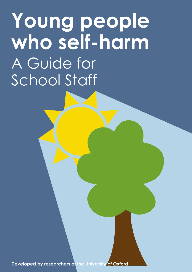# **Young people who self-harm**  A Guide for School Staff

**Developed by researchers at the University of Oxford**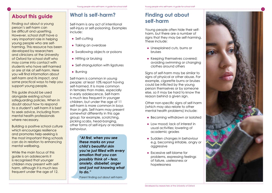## **About this guide**

2

Finding out about a young person's self-harm can be difficult and upsetting. However, school staff have a very important role in helping young people who are selfharming. This resource has been developed by researchers and clinicians at the University of Oxford for school staff who may come into contact with students who have self-harmed or are at risk of self-harm. Here you will find information about self-harm and its impact, and some practical ways to help you support young people.

This guide should be used alongside existing school safeguarding policies. When in doubt about how to respond to a student's self-harm it is best to seek advice, including from mental health professionals where necessary.

Building a positive school culture which encourages resilience and promotes help-seeking is the most important thing schools can do in relation to enhancing mental wellbeing.

While the main focus of this guide is on adolescents it is recognised that younger children may present with selfharm, although it is much less frequent under the age of 12.

# **What is self-harm? Finding out about**

Self-harm is any act of intentional self-injury or self-poisoning. Examples include:

- Self-cutting
- Taking an overdose
- Swallowing objects or poisons
- Hitting or bruising
- Self-strangulation with ligatures
- Burning

Self-harm is common in young people: at least 10% report having self-harmed. It is more common in females than males, especially in early adolescence. Self-harm is much less frequent in younger children, but under the age of 11 self-harm is more common in boys than in girls. Self-harm may present somewhat differently in this age group; for example, scratching, picking scabs, head-banging, other forms of self-injury or reckless behaviour.

> *"At first, when you see these marks on your child's beautiful skin you're just filled with every emotion that you can possibly think of – fear, anxiety, disbelief, anger and just not knowing what to do."*

Parent finding out about self-harm

# **self-harm**

Young people often hide their selfharm, but there are a number of signs that they may be self-harming. These include:

- Unexplained cuts, burns or bruises
- Keeping themselves covered; avoiding swimming or changing clothes around others

Signs of self-harm may be similar to signs of physical or other abuse. For example, cigarette burns or bruises could be inflicted by the young person themselves or by someone else, so it may be hard to know the reason behind a given sign.

Other non-specific signs of self-harm (which may also relate to other mental health problems) include:

- Becoming withdrawn or isolated
- Low mood; lack of interest in usual activities; lowering of academic grades
- Sudden changes in behaviour e.g. becoming irritable, angry or aggressive
- Excessive self-blame for problems, expressing feelings of failure, uselessness or hopelessness

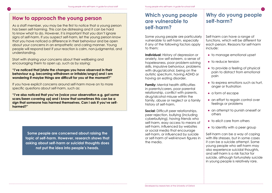# **self-harm? How to approach the young person**

4

As a staff member, you may be the first to notice that a young person has been self-harming. This can be distressing and it can be hard to know what to do. However, it is important that you don't ignore signs of self-harm. If you suspect self-harm, let the young person know that you have noticed a difference in their behaviour and be open about your concerns in an empathetic and caring manner. Young people will respond best if your reaction is calm, non-judgmental, and understanding.

Start with sharing your concerns about their wellbeing and encouraging them to open up, such as by saying:

**"I've noticed that [state the changes you have observed in their behaviour e.g. becoming withdrawn or irritable/angry] and I am wondering if maybe things are difficult for you at the moment?"**

If you have explicit concerns around self-harm move on to more specific questions about self-harm, such as:

**"I've also noticed that you've [voice your observation e.g. got some scars/been covering up] and I know that sometimes this can be a sign that someone has harmed themselves. Can I ask if you've selfharmed?"**

> **Some people are concerned about raising the topic of self-harm. However, research shows that asking about self-harm or suicidal thoughts does not put the idea into people's heads.**

## **Which young people are vulnerable to self-harm?**

Some young people are particularly vulnerable to self-harm, especially if any of the following factors apply to them:

**Individual:** History of depression or anxiety, low self-esteem, a sense of hopelessness, poor problem-solving skills, impulsive behaviour, problems with drugs/alcohol, being on the autistic spectrum, having ADHD or having an eating disorder.

**Family:** Mental health difficulties in parents/carers, poor parental relationship, conflict with parents, drug/alcohol misuse within the family, abuse or neglect or a family history of self-harm.

**Social:** Difficult peer relationships, peer rejection, bullying (including cyberbullying), having friends who self-harm, easy access to means of self-harm, influenced by websites or social media that encourage self-harm, or influenced by suicide or self-harm of well-known figures in the media.

# **Why do young people**

5

Self-harm can have a range of functions, which will be different for each person. Reasons for self-harm include:

- to manage emotional upset
- to reduce tension
- to provide a feeling of physical pain to distract from emotional pain
- to express emotions such as hurt, anger or frustration
- a form of escape
- an effort to regain control over feelings or problems
- an attempt to punish oneself or others
- $\bullet$  to elicit care from others
- to identify with a peer group

Self-harm can be a way of coping with life stresses, but in some cases it can be a suicide attempt. Some young people who self-harm may also experience suicidal thoughts, and self-harm is a risk factor for suicide, although fortunately suicide in young people is relatively rare.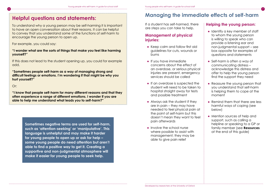# **Helpful questions and statements:**

To understand why a young person may be self-harming it is important to have an open conversation about their reasons. It can be helpful to convey that you understand some of the functions of self-harm to encourage the young person to open up.

For example, you could say:

**"I wonder what are the sorts of things that make you feel like harming yourself?"** 

If this does not lead to the student opening up, you could for example add,

**"Sometimes people self-harm as a way of managing strong and difficult feelings or emotions. I'm wondering if that might be why you hurt yourself?"**

Or:

6

**"I know that people self-harm for many different reasons and that they often experience a range of different emotions. I wonder if you are able to help me understand what leads you to self-harm?"**

**Sometimes negative terms are used for self-harm, such as 'attention-seeking' or 'manipulative'. This language is unhelpful and may make it harder for young people to open up or ask for help – some young people do need attention but aren't able to find a positive way to get it. Creating a supportive and non-judgmental atmosphere will make it easier for young people to seek help.**

## **Managing the immediate effects of self-harm**

If a student has self-harmed, there are steps you can take to help.

#### **Management of physical injuries:**

- Keep calm and follow first aid guidelines for cuts, wounds or burns
- If you have immediate concerns about the effect of an overdose, or serious physical injuries are present, emergency services should be called
- If an overdose is suspected the student will need to be taken to hospital straight away for tests and possible treatment
- Always ask the student if they are in pain – they may have needed to feel physical pain at the point of self-harm but this doesn't mean they want to feel pain afterwards
- Involve the school nurse where possible to assist with management; they may be able to give pain relief

#### **Helping the young person:**

7

- Identify a key member of staff to whom the young person is willing to speak who can provide a listening ear and non-judgmental support – see box opposite for examples of questions and statements
- Self-harm is often a way of communicating distress – acknowledge this distress and offer to help the young person find the support they need
- Reassure the young person that you understand that self-harm is helping them to cope at the moment
- Remind them that there are less harmful ways of coping (see below)
- Mention sources of help and support, such as calling a helpline or speaking to a GP or family member (see **Resources** at the end of this guide)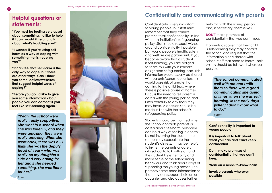### **Helpful questions or statements:**

8

**"You must be feeling very upset about something. I'd like to help if I can; would it help to talk about what's troubling you?"**

**"I wonder if you're using selfharm as a way of coping with something that is troubling you?"**

**"It can feel that self-harm is the only way to cope, but there are other ways. Can I show you some leaflets/websites that suggest helpful ways of coping?"**

**"Before you go I'd like to give you some information about people you can contact if you feel like self-harming again."**

> *"Yeah, the school were really, really supportive. She went to a school when she was taken ill, and they were amazing. They were really amazing. When she went back, there was a – I think she was the deputy head of year – who was really on my daughter's side and very caring for her and if she needed something, she was there for her."*

Parent



### **Confidentiality and communicating with parents**

Confidentiality is very important to young people, but staff must remember that they cannot promise total confidentiality, in line with their institution's safeguarding policy. Staff should respect wishes around confidentiality if possible, but young people's health, safety and welfare are paramount. If you become aware that a student is self-harming, you are obliged to share this with your school's designated safeguarding lead. This information would usually be shared with parents/carers too, unless this would pose risk of greater harm coming to the child (e.g. where there is possible abuse at home). Discuss the need to tell parents/ carers with the young person and listen carefully to any fears they may have. A decision should be made in line with the school's safeguarding policy.

Students should be informed when the school contacts parents or carers about self-harm. Self-harm can be a way of feeling in control; by not involving the student the school may exacerbate the student's distress. It may be helpful to invite the parents or carers into school to talk with staff and the student together to try and make sense of the self-harming behaviour and think about ways of supporting the young person. The parents/carers need information so that they can support their son or daughter and also access further

Developed by researchers at the University of Oxford

help for both the young person and, if necessary, themselves.

**DON'T** make promises of confidentiality that you can't keep.

9

If parents discover that their child is self-harming they may contact the school and request that the information is only shared with school staff that need to know. Their wishes should be followed wherever possible.

> *"The school communicated well with me and I with them so there was a good communication line going at times when she was selfharming, in the early days, [when] I didn't know what to do."*

Parent

**Confidentiality is important to young people**

**It is important to talk about what you can and can't keep confidential**

**Don't make promises of confidentiality that you can't keep**

**Work on a need-to-know basis**

**Involve parents wherever possible**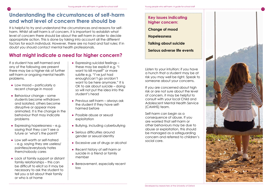## **Understanding the circumstances of self-harm and what level of concern there should be**

It is helpful to try and understand the circumstances and reasons for selfharm. Whilst all self-harm is of concern, it is important to establish what level of concern there should be about the self-harm in order to decide appropriate action. This is done by taking into account all the different factors for each individual. However, there are no hard and fast rules; if in doubt you should contact mental health professionals.

#### **What might indicate a need for higher concern?**

If a student has self-harmed and any of the following are present there may be a higher risk of further self-harm or ongoing mental health problems. ● Low mood – particularly a

recent change in mood

10

- $\bullet$  Behaviour change some students become withdrawn and isolated, others become disruptive or appear more animated. It is the change in the behaviour that may indicate problems
- Expressing hopelessness e.g. saying that they can't see a future or 'what's the point?'
- Low self-worth or self-hatred – e.g. saying they are useless/ pointless/everybody hates them/nobody cares
- Lack of family support or distant family relationships – this can be difficult to elicit so it may be necessary to ask the student to tell you a bit about their family or who is at home
- Expressing suicidal feelings these may be explicit e.g. "I want to kill myself" or more subtle e.g. "I've just had enough/can't go on/don't want to be here anymore." It is OK to ask about suicide – doing so will not put the idea into the student's head
- Previous self-harm always ask the student if they have selfharmed before
- Possible abuse or sexual exploitation
- Bullying, including cyberbullying
- Serious difficulties around gender or sexual identity
- Excessive use of drugs or alcohol
- Recent history of self-harm or suicide in a friend or family member
- Bereavement, especially recent loss

**Key issues indicating higher concern: Change of mood Hopelessness Talking about suicide Serious adverse life events**

Listen to your intuition; if you have a hunch that a student may be at risk you may well be right. Speak to someone about your concerns.

If you are concerned about high risk or are not sure about the level of concern, it may be helpful to consult with your local Child and Adolescent Mental Health Service (CAMHS) team.

Self-harm can begin as a consequence of abuse. If you are worried that self-harm or other behaviours may be due to abuse or exploitation, this should be managed as a safeguarding concern and referred to children's social care.

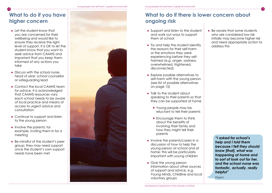# **What to do if you have higher concern**

12

- Let the student know that you are concerned for their wellbeing and would like to ensure they receive the right level of support. It is OK to let the student know that you want to seek advice from CAMHS and important that you keep them informed of any actions you take
- Discuss with the school nurse, head of year, school counsellor or safeguarding lead
- Contact the local CAMHS team for advice. It is acknowledged that CAMHS resources vary; each school needs to be aware of local practice and means of access to urgent advice and consultation
- Continue to support and listen to the young person
- Involve the parents; for example, inviting them in for a meeting
- Be mindful of the student's peer group; they may need support once the student's own support needs have been met



## **What to do if there is lower concern about ongoing risk**

- Support and listen to the student and work out ways to support them at school
- Try and help the student identify the reasons for their self-harm or the emotions they were experiencing before they selfharmed (e.g, anger, sadness, overwhelmed, frightened, disconnected)
- Explore possible alternatives to self-harm with the young person (see list of possible alternatives on page 15)
- Talk to the student about speaking to their parents so that they can be supported at home
	- $\blacktriangleright$  Young people may be reluctant to tell their parents
	- $\blacktriangleright$  Encourage them to think about the benefits of involving their family and how they might tell their parents
- Involve the parents/carers in a discussion of how to help the young person at school and at home; this will be particularly important with young children
- Give the young person information about other sources of support and advice, e.g. Young Minds, Childline and local voluntary groups

● Be aware that some students who are considered low risk initially may become higher risk and need appropriate action to address this

13

*"I asked for school's help and I told them because I felt they should know [that], what was happening at home and to sort of look out for her, and the school nurse was fantastic, actually, really helpful"*

Parent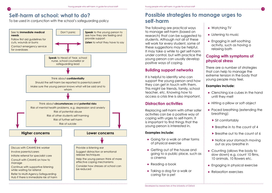## **Self-harm at school: what to do?**

14

To be used in conjunction with the school's safeguarding policy



# **Possible strategies to manage urges to self-harm**

The following are practical ways to manage self-harm (based on research) that can be suggested to students. Although not all of these will work for every student, some of these suggestions may be helpful. It may take a while to get self-harm under control, but with practice the young person can usually develop positive ways of coping.

#### **Building support networks**

It is helpful to identify who can support the young person and how they can get in touch with them. This might be friends, family, school teacher, etc. Knowing how to access a crisis line is also important.

#### **Distraction activities**

Replacing self-harm with other safer activities can be a positive way of coping with urges to self-harm. It is important to find things that the young person is interested in.

#### **Examples include:**

- Going for a walk or other forms of physical exercise
- Getting out of the house and going to a public place, such as a cinema
- $\bullet$  Reading a book
- Taking a dog for a walk or caring for a pet
- Watching TV
- Listening to music
- Engaging in self-soothing activity, such as having a relaxing bath

15

#### **Coping with symptoms of physical stress**

There are a number of strategies that can help to manage the extreme tension in the body that young people may feel.

#### **Examples include:**

- Clenching ice cubes in the hand until they melt
- Hitting a pillow or soft object
- Paced breathing (extending the breathing):
	- $\blacktriangleright$  Sit comfortably
	- $\triangleright$  Breathe in to the count of 4
	- $\triangleright$  Breathe out to the count of 6
	- $\blacktriangleright$  Notice your stomach moving out as you breathe in
- Counting (allows the body to slow down) e.g. count 10 films, 10 animals, 10 flowers etc.
- Engaging in physical exercise
- Relaxation exercises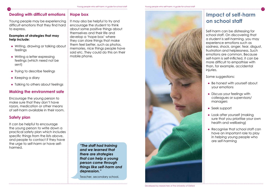#### **Dealing with difficult emotions Hope box**

Young people may be experiencing difficult emotions that they find hard to express.

#### **Examples of strategies that may help include:**

- Writing, drawing or talking about feelings
- Writing a letter expressing feelings (which need not be sent)
- Trying to describe feelings
- Keeping a diary
- Talking to others about feelings

#### **Making the environment safe**

Encourage the young person to make sure that they don't have razors, medication or other means of self-harm available in their room.

#### **Safety plan**

It can be helpful to encourage the young person to write down a practical safety plan which includes specific things from the lists above, and people to contact if they have the urge to self-harm or have selfharmed.

It may also be helpful to try and encourage the student to think about some positive things about themselves and their life and develop a 'hope box' where they can store things that make them feel better, such as photos, memories, nice things people have said etc. They could do this on their mobile phone.

> *"The staff had training and we learned that there are strategies that can help a young person come through things like self-harm and depression."*

Teacher, secondary school.



## **Impact of self-harm on school staff**

Self-harm can be distressing for school staff. On discovering that a student is self-harming, you may experience emotions such as sadness, shock, anger, fear, disgust, frustration and helplessness. Such emotions are common. Because self-harm is self-inflicted, it can be more difficult to empathise with than, for example, accidental injuries.

Some suggestions:

- Be honest with yourself about your emotions
- Discuss your feelings with colleagues or supervisors/ managers
- Seek support
- Look after yourself (making sure that you prioritise your own health and wellbeing)
- Recognise that school staff can have an important role to play in helping young people who are self-harming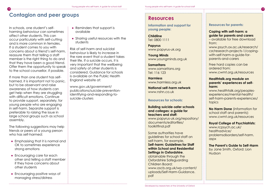## **Contagion and peer groups**

18

In schools, one student's selfharming behaviour can sometimes affect other students. This can occur particularly with self-cutting and is more common in females. If a student comes to you with concerns about a friend's self-harm, reassure them that telling a staff member is the right thing to do and that they have been a good friend. Offer them the opportunity to speak to the school counsellor, if possible.

If more than one student has selfharmed, it is important not to panic, but to be observant and raise awareness of how students can get help when they are struggling with difficult emotions. Continue to provide support, separately, for young people who are engaging in self-harm. Separate support is preferable to raising the issue in large school groups such as school assembly.

The following suggestions may help friends or peers of a young person who has self-harmed:

- Emphasising that it is normal and OK to sometimes experience strong emotions
- Encouraging care for each other and telling a staff member if they have concerns about other students
- Encouraging positive ways of managing stress/distress
- Reminders that support is available
- Sharing useful resources with the students

Risk of self-harm and suicidal behaviour is likely to increase in the rare event that a student takes their life. If a suicide occurs, it is very important that the wellbeing and safety of other students is considered. Guidance for schools is available on the Public Health England website at:

www.gov.uk/government/ publications/suicide-preventionidentifying-and-responding-tosuicide-clusters

#### **Resources**

**Information and support for young people:**

**Childline**  Tel: 0800 1111

**Papyrus** www.papyrus-uk.org

**Young Minds**  www.youngminds.org.uk

**Samaritans** www.samaritans.org Tel: 116 123

**Harmless**  www.harmless.org.uk

**National self-harm network** www.nshn.co.uk

#### **Resources for schools:**

**Building suicide-safer schools and colleges: a guide for teachers and staff:**  www.papyrus-uk.org/repository/ documents/editorfiles/ toolkitfinal.pdf

Some authorities have guidelines for school staff on self-harm, for example, **Self-harm: Guidelines for Staff within School and Residential Settings in Oxfordshire**, obtainable through the Oxfordshire Safeguarding Children Board: www.oscb.org.uk/wp-content/ uploads/Self-Harm-Guidance. pdf

#### **Resources for parents:**

from:

**Coping with self-harm: a guide for parents and carers**  – available for free download 19

www.psych.ox.ac.uk/research/ csr/research-projects-1/copingwith-self-harm-a-guide-forparents-and-carers

Free hard copies can be ordered from: www.cwmt.org.uk/resources

#### **Healthtalk.org module on parents' experiences of selfharm:**

www.healthtalk.org/peoplesexperiences/mental-health/ self-harm-parents-experiences/ topics

**No Harm Done** (information for school staff and parents): www.cwmt.org.uk/resources

**Royal College of Psychiatrists:**  www.rcpsych.ac.uk/ healthadvice/ problemsdisorders/self-harm. aspx

**The Parent's Guide to Self-Harm**  by Jane Smith, Oxford: Lion Hudson